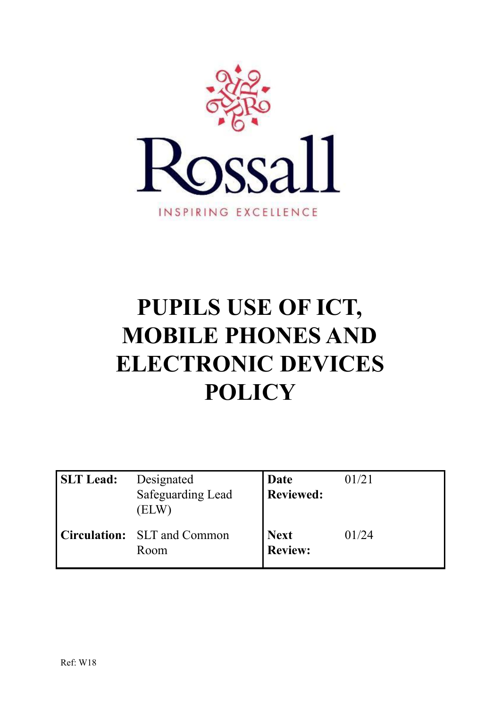

# **PUPILS USE OF ICT, MOBILE PHONES AND ELECTRONIC DEVICES POLICY**

| <b>SLT</b> Lead: | Designated<br>Safeguarding Lead<br>(ELW) | Date<br><b>Reviewed:</b>      | 01/21 |
|------------------|------------------------------------------|-------------------------------|-------|
|                  | Circulation: SLT and Common<br>Room      | <b>Next</b><br><b>Review:</b> | 01/24 |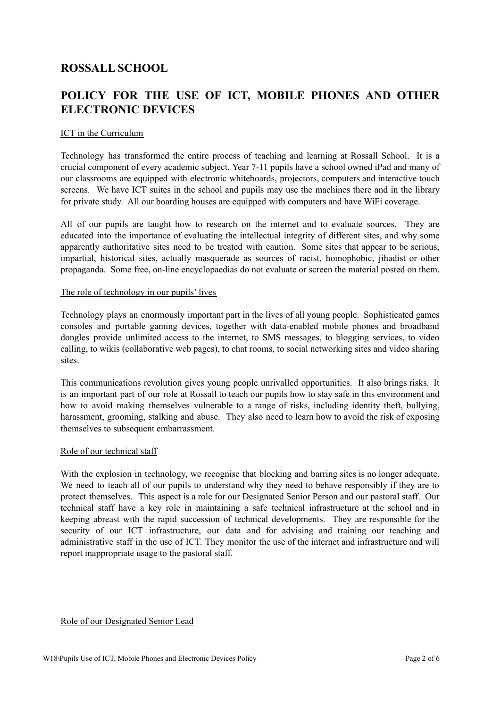## **ROSSALL SCHOOL**

## **POLICY FOR THE USE OF ICT, MOBILE PHONES AND OTHER ELECTRONIC DEVICES**

#### **ICT** in the Curriculum

Technology has transformed the entire process of teaching and learning at Rossall School. It is a crucial component of every academic subject. Year 7-11 pupils have a school owned iPad and many of our classrooms are equipped with electronic whiteboards, projectors, computers and interactive touch screens. We have ICT suites in the school and pupils may use the machines there and in the library for private study. All our boarding houses are equipped with computers and have WiFi coverage.

All of our pupils are taught how to research on the internet and to evaluate sources. They are educated into the importance of evaluating the intellectual integrity of different sites, and why some apparently authoritative sites need to be treated with caution. Some sites that appear to be serious, impartial, historical sites, actually masquerade as sources of racist, homophobic, jihadist or other propaganda. Some free, on-line encyclopaedias do not evaluate or screen the material posted on them.

#### The role of technology in our pupils' lives

Technology plays an enormously important part in the lives of all young people. Sophisticated games consoles and portable gaming devices, together with data-enabled mobile phones and broadband dongles provide unlimited access to the internet, to SMS messages, to blogging services, to video calling, to wikis (collaborative web pages), to chat rooms, to social networking sites and video sharing sites.

This communications revolution gives young people unrivalled opportunities. It also brings risks. It is an important part of our role at Rossall to teach our pupils how to stay safe in this environment and how to avoid making themselves vulnerable to a range of risks, including identity theft, bullying, harassment, grooming, stalking and abuse. They also need to learn how to avoid the risk of exposing themselves to subsequent embarrassment.

#### Role of our technical staff

With the explosion in technology, we recognise that blocking and barring sites is no longer adequate. We need to teach all of our pupils to understand why they need to behave responsibly if they are to protect themselves. This aspect is a role for our Designated Senior Person and our pastoral staff. Our technical staff have a key role in maintaining a safe technical infrastructure at the school and in keeping abreast with the rapid succession of technical developments. They are responsible for the security of our ICT infrastructure, our data and for advising and training our teaching and administrative staff in the use of ICT. They monitor the use of the internet and infrastructure and will report inappropriate usage to the pastoral staff.

#### Role of our Designated Senior Lead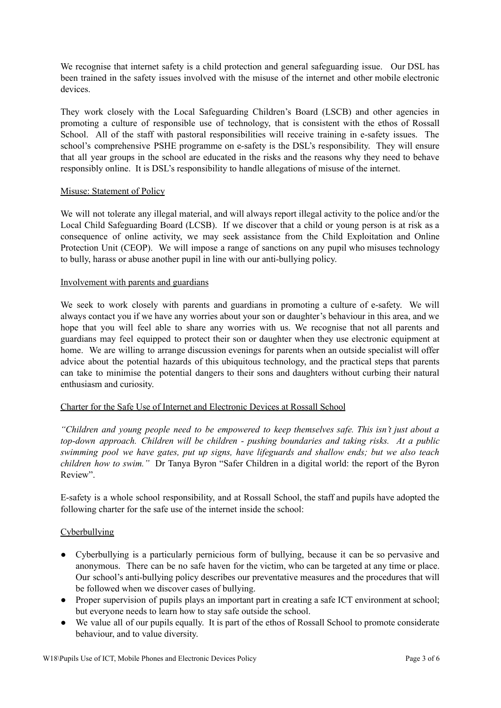We recognise that internet safety is a child protection and general safeguarding issue. Our DSL has been trained in the safety issues involved with the misuse of the internet and other mobile electronic devices.

They work closely with the Local Safeguarding Children's Board (LSCB) and other agencies in promoting a culture of responsible use of technology, that is consistent with the ethos of Rossall School. All of the staff with pastoral responsibilities will receive training in e-safety issues. The school's comprehensive PSHE programme on e-safety is the DSL's responsibility. They will ensure that all year groups in the school are educated in the risks and the reasons why they need to behave responsibly online. It is DSL's responsibility to handle allegations of misuse of the internet.

#### Misuse: Statement of Policy

We will not tolerate any illegal material, and will always report illegal activity to the police and/or the Local Child Safeguarding Board (LCSB). If we discover that a child or young person is at risk as a consequence of online activity, we may seek assistance from the Child Exploitation and Online Protection Unit (CEOP). We will impose a range of sanctions on any pupil who misuses technology to bully, harass or abuse another pupil in line with our anti-bullying policy.

#### Involvement with parents and guardians

We seek to work closely with parents and guardians in promoting a culture of e-safety. We will always contact you if we have any worries about your son or daughter's behaviour in this area, and we hope that you will feel able to share any worries with us. We recognise that not all parents and guardians may feel equipped to protect their son or daughter when they use electronic equipment at home. We are willing to arrange discussion evenings for parents when an outside specialist will offer advice about the potential hazards of this ubiquitous technology, and the practical steps that parents can take to minimise the potential dangers to their sons and daughters without curbing their natural enthusiasm and curiosity.

#### Charter for the Safe Use of Internet and Electronic Devices at Rossall School

*"Children and young people need to be empowered to keep themselves safe. This isn't just about a top-down approach. Children will be children - pushing boundaries and taking risks. At a public swimming pool we have gates, put up signs, have lifeguards and shallow ends; but we also teach children how to swim."* Dr Tanya Byron "Safer Children in a digital world: the report of the Byron Review".

E-safety is a whole school responsibility, and at Rossall School, the staff and pupils have adopted the following charter for the safe use of the internet inside the school:

#### Cyberbullying

- Cyberbullying is a particularly pernicious form of bullying, because it can be so pervasive and anonymous. There can be no safe haven for the victim, who can be targeted at any time or place. Our school's anti-bullying policy describes our preventative measures and the procedures that will be followed when we discover cases of bullying.
- Proper supervision of pupils plays an important part in creating a safe ICT environment at school; but everyone needs to learn how to stay safe outside the school.
- We value all of our pupils equally. It is part of the ethos of Rossall School to promote considerate behaviour, and to value diversity.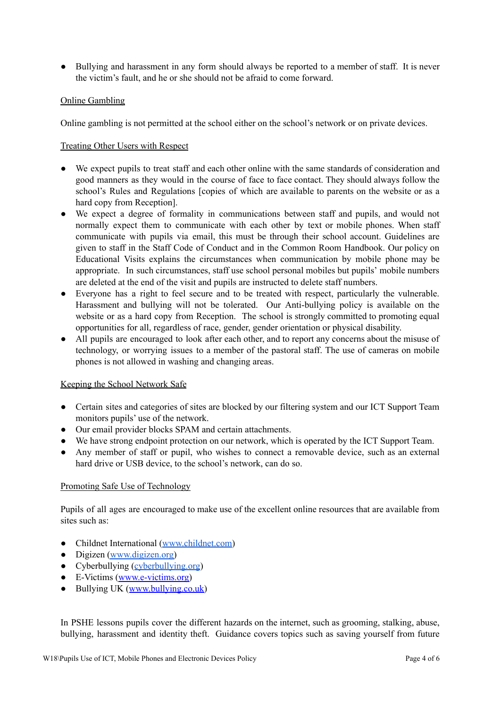• Bullying and harassment in any form should always be reported to a member of staff. It is never the victim's fault, and he or she should not be afraid to come forward.

#### Online Gambling

Online gambling is not permitted at the school either on the school's network or on private devices.

#### Treating Other Users with Respect

- We expect pupils to treat staff and each other online with the same standards of consideration and good manners as they would in the course of face to face contact. They should always follow the school's Rules and Regulations [copies of which are available to parents on the website or as a hard copy from Reception].
- We expect a degree of formality in communications between staff and pupils, and would not normally expect them to communicate with each other by text or mobile phones. When staff communicate with pupils via email, this must be through their school account. Guidelines are given to staff in the Staff Code of Conduct and in the Common Room Handbook. Our policy on Educational Visits explains the circumstances when communication by mobile phone may be appropriate. In such circumstances, staff use school personal mobiles but pupils' mobile numbers are deleted at the end of the visit and pupils are instructed to delete staff numbers.
- Everyone has a right to feel secure and to be treated with respect, particularly the vulnerable. Harassment and bullying will not be tolerated. Our Anti-bullying policy is available on the website or as a hard copy from Reception. The school is strongly committed to promoting equal opportunities for all, regardless of race, gender, gender orientation or physical disability.
- All pupils are encouraged to look after each other, and to report any concerns about the misuse of technology, or worrying issues to a member of the pastoral staff. The use of cameras on mobile phones is not allowed in washing and changing areas.

#### Keeping the School Network Safe

- Certain sites and categories of sites are blocked by our filtering system and our ICT Support Team monitors pupils' use of the network.
- Our email provider blocks SPAM and certain attachments.
- We have strong endpoint protection on our network, which is operated by the ICT Support Team.
- Any member of staff or pupil, who wishes to connect a removable device, such as an external hard drive or USB device, to the school's network, can do so.

#### Promoting Safe Use of Technology

Pupils of all ages are encouraged to make use of the excellent online resources that are available from sites such as:

- Childnet International [\(www.childnet.com](http://www.childnet.com))
- Digizen [\(www.digizen.org\)](http://www.digizen.org)
- Cyberbullying ([cyberbullying.org](https://cyberbullying.org/))
- E-Victims ([www.e-victims.org\)](http://www.e-victims.org)
- Bullying UK ([www.bullying.co.uk\)](http://www.bullying.co.uk)

In PSHE lessons pupils cover the different hazards on the internet, such as grooming, stalking, abuse, bullying, harassment and identity theft. Guidance covers topics such as saving yourself from future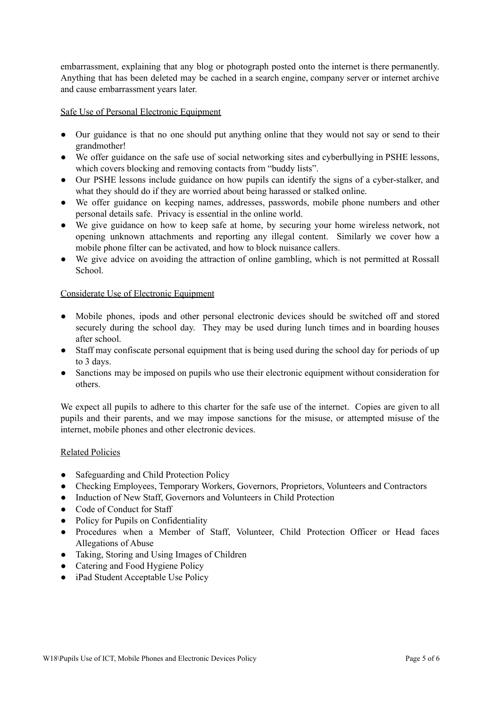embarrassment, explaining that any blog or photograph posted onto the internet is there permanently. Anything that has been deleted may be cached in a search engine, company server or internet archive and cause embarrassment years later.

#### Safe Use of Personal Electronic Equipment

- Our guidance is that no one should put anything online that they would not say or send to their grandmother!
- We offer guidance on the safe use of social networking sites and cyberbullying in PSHE lessons, which covers blocking and removing contacts from "buddy lists".
- Our PSHE lessons include guidance on how pupils can identify the signs of a cyber-stalker, and what they should do if they are worried about being harassed or stalked online.
- We offer guidance on keeping names, addresses, passwords, mobile phone numbers and other personal details safe. Privacy is essential in the online world.
- We give guidance on how to keep safe at home, by securing your home wireless network, not opening unknown attachments and reporting any illegal content. Similarly we cover how a mobile phone filter can be activated, and how to block nuisance callers.
- We give advice on avoiding the attraction of online gambling, which is not permitted at Rossall School.

#### Considerate Use of Electronic Equipment

- Mobile phones, ipods and other personal electronic devices should be switched off and stored securely during the school day. They may be used during lunch times and in boarding houses after school.
- Staff may confiscate personal equipment that is being used during the school day for periods of up to 3 days.
- Sanctions may be imposed on pupils who use their electronic equipment without consideration for others.

We expect all pupils to adhere to this charter for the safe use of the internet. Copies are given to all pupils and their parents, and we may impose sanctions for the misuse, or attempted misuse of the internet, mobile phones and other electronic devices.

#### Related Policies

- Safeguarding and Child Protection Policy
- Checking Employees, Temporary Workers, Governors, Proprietors, Volunteers and Contractors
- Induction of New Staff, Governors and Volunteers in Child Protection
- Code of Conduct for Staff
- Policy for Pupils on Confidentiality
- Procedures when a Member of Staff, Volunteer, Child Protection Officer or Head faces Allegations of Abuse
- Taking, Storing and Using Images of Children
- Catering and Food Hygiene Policy
- iPad Student Acceptable Use Policy